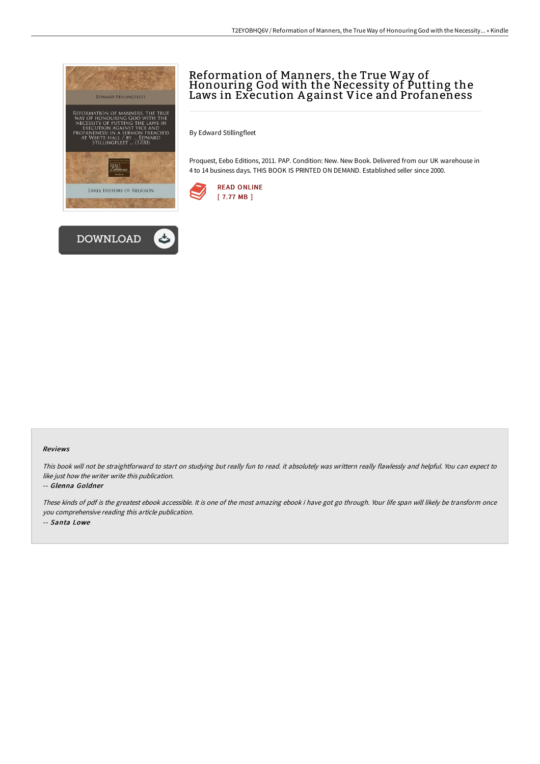



# Reformation of Manners, the True Way of Honouring God with the Necessity of Putting the Laws in Execution A gainst Vice and Profaneness

By Edward Stillingfleet

Proquest, Eebo Editions, 2011. PAP. Condition: New. New Book. Delivered from our UK warehouse in 4 to 14 business days. THIS BOOK IS PRINTED ON DEMAND. Established seller since 2000.



### Reviews

This book will not be straightforward to start on studying but really fun to read. it absolutely was writtern really flawlessly and helpful. You can expect to like just how the writer write this publication.

#### -- Glenna Goldner

These kinds of pdf is the greatest ebook accessible. It is one of the most amazing ebook i have got go through. Your life span will likely be transform once you comprehensive reading this article publication. -- Santa Lowe